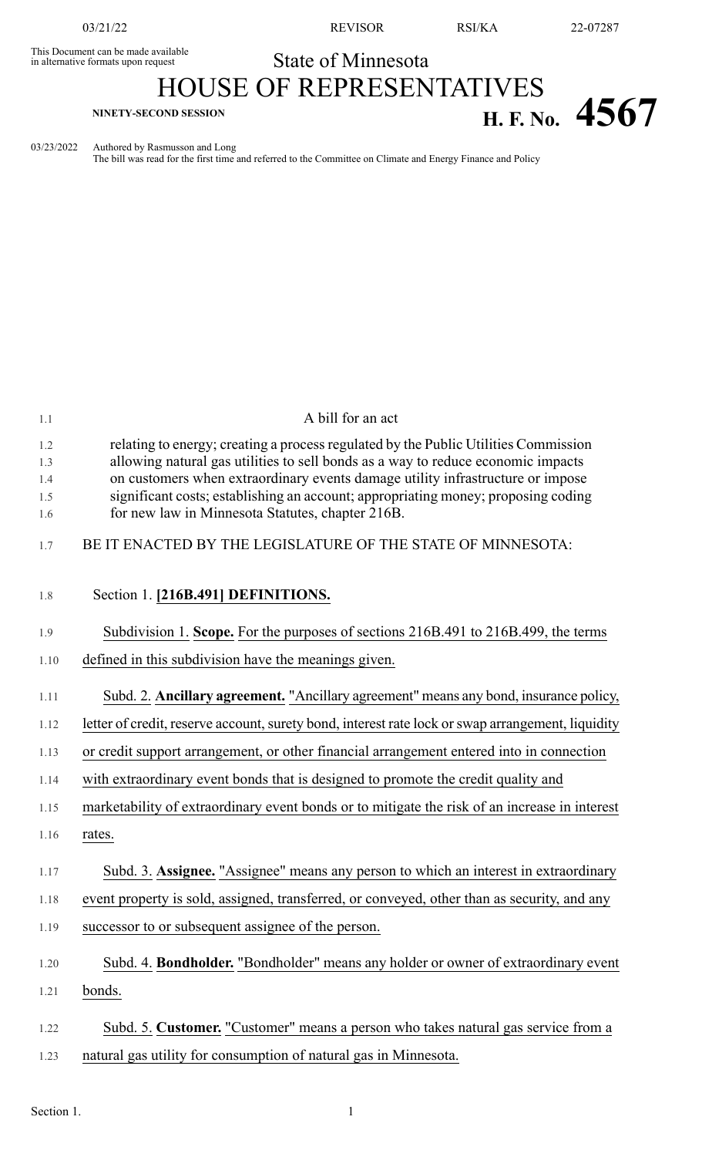This Document can be made available<br>in alternative formats upon request

03/21/22 REVISOR RSI/KA 22-07287

## State of Minnesota HOUSE OF REPRESENTATIVES

## **H. F. No. 4567 H. F. No. 4567**

03/23/2022 Authored by Rasmusson and Long

The bill was read for the first time and referred to the Committee on Climate and Energy Finance and Policy

| 1.1        | A bill for an act                                                                                                                                                   |  |  |  |  |
|------------|---------------------------------------------------------------------------------------------------------------------------------------------------------------------|--|--|--|--|
| 1.2        | relating to energy; creating a process regulated by the Public Utilities Commission                                                                                 |  |  |  |  |
| 1.3        | allowing natural gas utilities to sell bonds as a way to reduce economic impacts                                                                                    |  |  |  |  |
| 1.4<br>1.5 | on customers when extraordinary events damage utility infrastructure or impose<br>significant costs; establishing an account; appropriating money; proposing coding |  |  |  |  |
| 1.6        | for new law in Minnesota Statutes, chapter 216B.                                                                                                                    |  |  |  |  |
| 1.7        | BE IT ENACTED BY THE LEGISLATURE OF THE STATE OF MINNESOTA:                                                                                                         |  |  |  |  |
| 1.8        | Section 1. [216B.491] DEFINITIONS.                                                                                                                                  |  |  |  |  |
| 1.9        | Subdivision 1. Scope. For the purposes of sections 216B.491 to 216B.499, the terms                                                                                  |  |  |  |  |
| 1.10       | defined in this subdivision have the meanings given.                                                                                                                |  |  |  |  |
| 1.11       | Subd. 2. Ancillary agreement. "Ancillary agreement" means any bond, insurance policy,                                                                               |  |  |  |  |
| 1.12       | letter of credit, reserve account, surety bond, interest rate lock or swap arrangement, liquidity                                                                   |  |  |  |  |
| 1.13       | or credit support arrangement, or other financial arrangement entered into in connection                                                                            |  |  |  |  |
| 1.14       | with extraordinary event bonds that is designed to promote the credit quality and                                                                                   |  |  |  |  |
| 1.15       | marketability of extraordinary event bonds or to mitigate the risk of an increase in interest                                                                       |  |  |  |  |
| 1.16       | rates.                                                                                                                                                              |  |  |  |  |
| 1.17       | Subd. 3. Assignee. "Assignee" means any person to which an interest in extraordinary                                                                                |  |  |  |  |
| 1.18       | event property is sold, assigned, transferred, or conveyed, other than as security, and any                                                                         |  |  |  |  |
| 1.19       | successor to or subsequent assignee of the person.                                                                                                                  |  |  |  |  |
| 1.20       | Subd. 4. Bondholder. "Bondholder" means any holder or owner of extraordinary event                                                                                  |  |  |  |  |
| 1.21       | bonds.                                                                                                                                                              |  |  |  |  |
| 1.22       | Subd. 5. Customer. "Customer" means a person who takes natural gas service from a                                                                                   |  |  |  |  |
| 1.23       | natural gas utility for consumption of natural gas in Minnesota.                                                                                                    |  |  |  |  |
|            |                                                                                                                                                                     |  |  |  |  |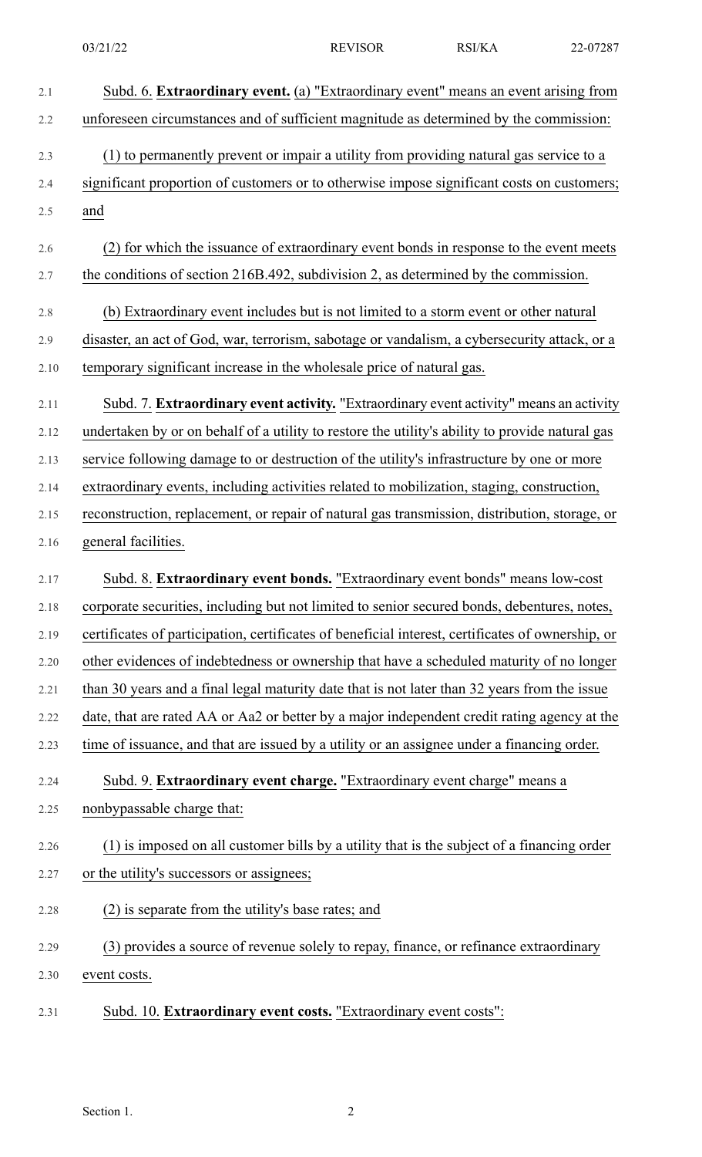| 2.1  | Subd. 6. Extraordinary event. (a) "Extraordinary event" means an event arising from               |  |  |  |
|------|---------------------------------------------------------------------------------------------------|--|--|--|
| 2.2  | unforeseen circumstances and of sufficient magnitude as determined by the commission:             |  |  |  |
| 2.3  | (1) to permanently prevent or impair a utility from providing natural gas service to a            |  |  |  |
| 2.4  | significant proportion of customers or to otherwise impose significant costs on customers;        |  |  |  |
| 2.5  | and                                                                                               |  |  |  |
| 2.6  | (2) for which the issuance of extraordinary event bonds in response to the event meets            |  |  |  |
| 2.7  | the conditions of section 216B.492, subdivision 2, as determined by the commission.               |  |  |  |
| 2.8  | (b) Extraordinary event includes but is not limited to a storm event or other natural             |  |  |  |
| 2.9  | disaster, an act of God, war, terrorism, sabotage or vandalism, a cybersecurity attack, or a      |  |  |  |
| 2.10 | temporary significant increase in the wholesale price of natural gas.                             |  |  |  |
| 2.11 | Subd. 7. Extraordinary event activity. "Extraordinary event activity" means an activity           |  |  |  |
| 2.12 | undertaken by or on behalf of a utility to restore the utility's ability to provide natural gas   |  |  |  |
| 2.13 | service following damage to or destruction of the utility's infrastructure by one or more         |  |  |  |
| 2.14 | extraordinary events, including activities related to mobilization, staging, construction,        |  |  |  |
| 2.15 | reconstruction, replacement, or repair of natural gas transmission, distribution, storage, or     |  |  |  |
| 2.16 | general facilities.                                                                               |  |  |  |
| 2.17 | Subd. 8. Extraordinary event bonds. "Extraordinary event bonds" means low-cost                    |  |  |  |
| 2.18 | corporate securities, including but not limited to senior secured bonds, debentures, notes,       |  |  |  |
| 2.19 | certificates of participation, certificates of beneficial interest, certificates of ownership, or |  |  |  |
| 2.20 | other evidences of indebtedness or ownership that have a scheduled maturity of no longer          |  |  |  |
| 2.21 | than 30 years and a final legal maturity date that is not later than 32 years from the issue      |  |  |  |
| 2.22 | date, that are rated AA or Aa2 or better by a major independent credit rating agency at the       |  |  |  |
| 2.23 | time of issuance, and that are issued by a utility or an assignee under a financing order.        |  |  |  |
| 2.24 | Subd. 9. Extraordinary event charge. "Extraordinary event charge" means a                         |  |  |  |
| 2.25 | nonbypassable charge that:                                                                        |  |  |  |
| 2.26 | (1) is imposed on all customer bills by a utility that is the subject of a financing order        |  |  |  |
| 2.27 | or the utility's successors or assignees;                                                         |  |  |  |
| 2.28 | (2) is separate from the utility's base rates; and                                                |  |  |  |
| 2.29 | (3) provides a source of revenue solely to repay, finance, or refinance extraordinary             |  |  |  |
| 2.30 | event costs.                                                                                      |  |  |  |
| 2.31 | Subd. 10. Extraordinary event costs. "Extraordinary event costs":                                 |  |  |  |

Section 1. 2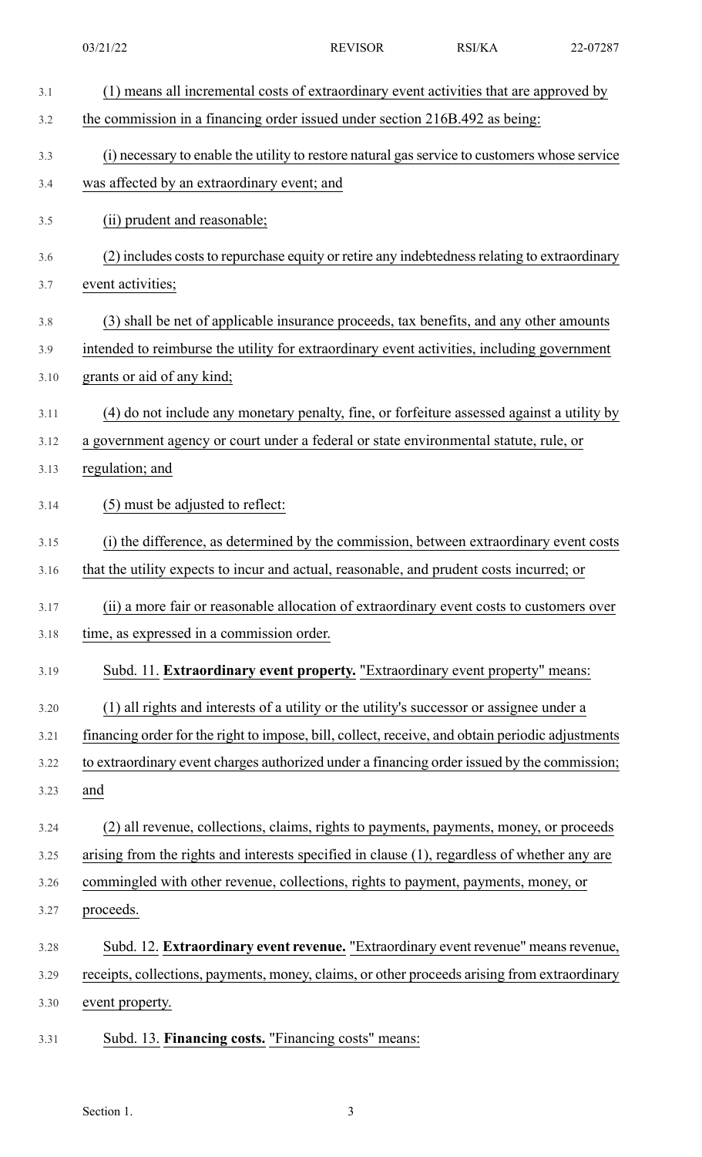| 3.1  | (1) means all incremental costs of extraordinary event activities that are approved by           |  |  |  |  |
|------|--------------------------------------------------------------------------------------------------|--|--|--|--|
| 3.2  | the commission in a financing order issued under section 216B.492 as being:                      |  |  |  |  |
| 3.3  | (i) necessary to enable the utility to restore natural gas service to customers whose service    |  |  |  |  |
| 3.4  | was affected by an extraordinary event; and                                                      |  |  |  |  |
| 3.5  | (ii) prudent and reasonable;                                                                     |  |  |  |  |
|      | (2) includes costs to repurchase equity or retire any indebtedness relating to extraordinary     |  |  |  |  |
| 3.6  | event activities;                                                                                |  |  |  |  |
| 3.7  |                                                                                                  |  |  |  |  |
| 3.8  | (3) shall be net of applicable insurance proceeds, tax benefits, and any other amounts           |  |  |  |  |
| 3.9  | intended to reimburse the utility for extraordinary event activities, including government       |  |  |  |  |
| 3.10 | grants or aid of any kind;                                                                       |  |  |  |  |
| 3.11 | (4) do not include any monetary penalty, fine, or forfeiture assessed against a utility by       |  |  |  |  |
| 3.12 | a government agency or court under a federal or state environmental statute, rule, or            |  |  |  |  |
| 3.13 | regulation; and                                                                                  |  |  |  |  |
| 3.14 | (5) must be adjusted to reflect:                                                                 |  |  |  |  |
| 3.15 | (i) the difference, as determined by the commission, between extraordinary event costs           |  |  |  |  |
| 3.16 | that the utility expects to incur and actual, reasonable, and prudent costs incurred; or         |  |  |  |  |
| 3.17 | (ii) a more fair or reasonable allocation of extraordinary event costs to customers over         |  |  |  |  |
| 3.18 | time, as expressed in a commission order.                                                        |  |  |  |  |
| 3.19 | Subd. 11. Extraordinary event property. "Extraordinary event property" means:                    |  |  |  |  |
| 3.20 | (1) all rights and interests of a utility or the utility's successor or assignee under a         |  |  |  |  |
| 3.21 | financing order for the right to impose, bill, collect, receive, and obtain periodic adjustments |  |  |  |  |
| 3.22 | to extraordinary event charges authorized under a financing order issued by the commission;      |  |  |  |  |
| 3.23 | and                                                                                              |  |  |  |  |
| 3.24 | (2) all revenue, collections, claims, rights to payments, payments, money, or proceeds           |  |  |  |  |
| 3.25 | arising from the rights and interests specified in clause $(1)$ , regardless of whether any are  |  |  |  |  |
| 3.26 | commingled with other revenue, collections, rights to payment, payments, money, or               |  |  |  |  |
| 3.27 | proceeds.                                                                                        |  |  |  |  |
| 3.28 | Subd. 12. Extraordinary event revenue. "Extraordinary event revenue" means revenue,              |  |  |  |  |
| 3.29 | receipts, collections, payments, money, claims, or other proceeds arising from extraordinary     |  |  |  |  |
| 3.30 | event property.                                                                                  |  |  |  |  |
| 3.31 | Subd. 13. Financing costs. "Financing costs" means:                                              |  |  |  |  |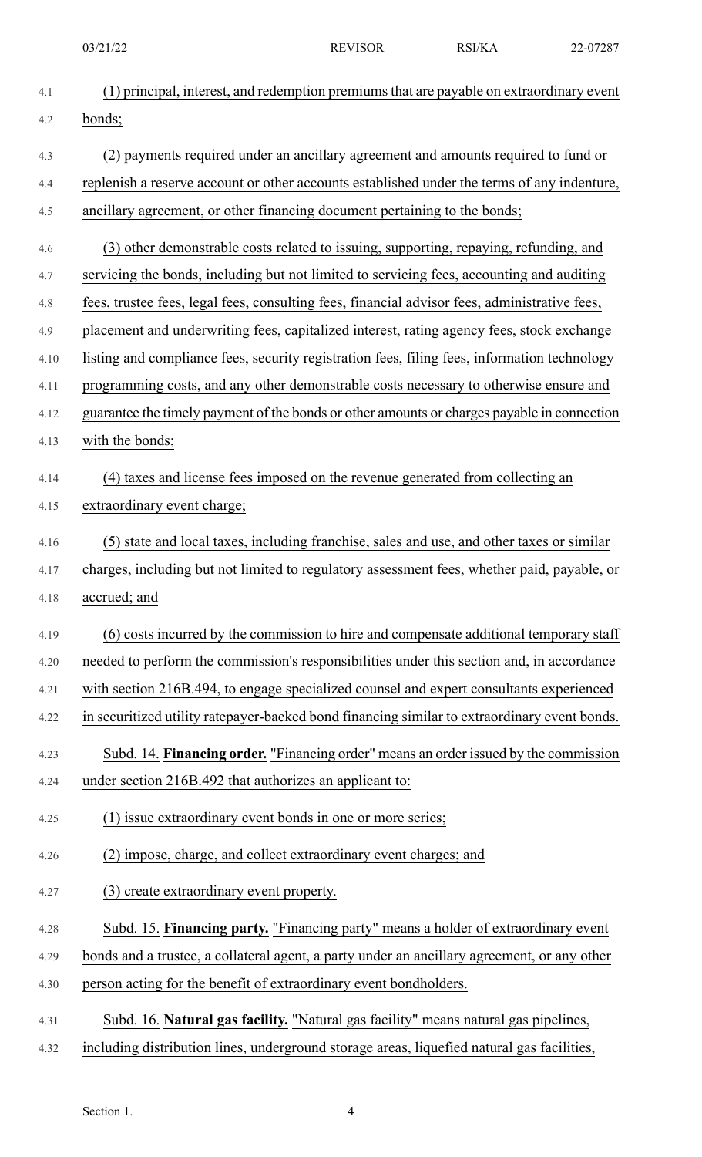- 4.1 (1) principal, interest, and redemption premiumsthat are payable on extraordinary event 4.2 bonds; 4.3 (2) payments required under an ancillary agreement and amounts required to fund or 4.4 replenish a reserve account or other accounts established under the terms of any indenture, 4.5 ancillary agreement, or other financing document pertaining to the bonds; 4.6 (3) other demonstrable costs related to issuing, supporting, repaying, refunding, and 4.7 servicing the bonds, including but not limited to servicing fees, accounting and auditing 4.8 fees, trustee fees, legal fees, consulting fees, financial advisor fees, administrative fees, 4.9 placement and underwriting fees, capitalized interest, rating agency fees, stock exchange 4.10 listing and compliance fees, security registration fees, filing fees, information technology 4.11 programming costs, and any other demonstrable costs necessary to otherwise ensure and 4.12 guarantee the timely payment of the bonds or other amounts or charges payable in connection 4.13 with the bonds; 4.14 (4) taxes and license fees imposed on the revenue generated from collecting an 4.15 extraordinary event charge; 4.16 (5) state and local taxes, including franchise, sales and use, and other taxes or similar 4.17 charges, including but not limited to regulatory assessment fees, whether paid, payable, or 4.18 accrued; and 4.19 (6) costs incurred by the commission to hire and compensate additional temporary staff 4.20 needed to perform the commission's responsibilities under this section and, in accordance 4.21 with section 216B.494, to engage specialized counsel and expert consultants experienced 4.22 in securitized utility ratepayer-backed bond financing similar to extraordinary event bonds. 4.23 Subd. 14. **Financing order.** "Financing order" means an order issued by the commission 4.24 under section 216B.492 that authorizes an applicant to: 4.25 (1) issue extraordinary event bonds in one or more series; 4.26 (2) impose, charge, and collect extraordinary event charges; and 4.27 (3) create extraordinary event property. 4.28 Subd. 15. **Financing party.** "Financing party" means a holder of extraordinary event 4.29 bonds and a trustee, a collateral agent, a party under an ancillary agreement, or any other 4.30 person acting for the benefit of extraordinary event bondholders. 4.31 Subd. 16. **Natural gas facility.** "Natural gas facility" means natural gas pipelines,
- 4.32 including distribution lines, underground storage areas, liquefied natural gas facilities,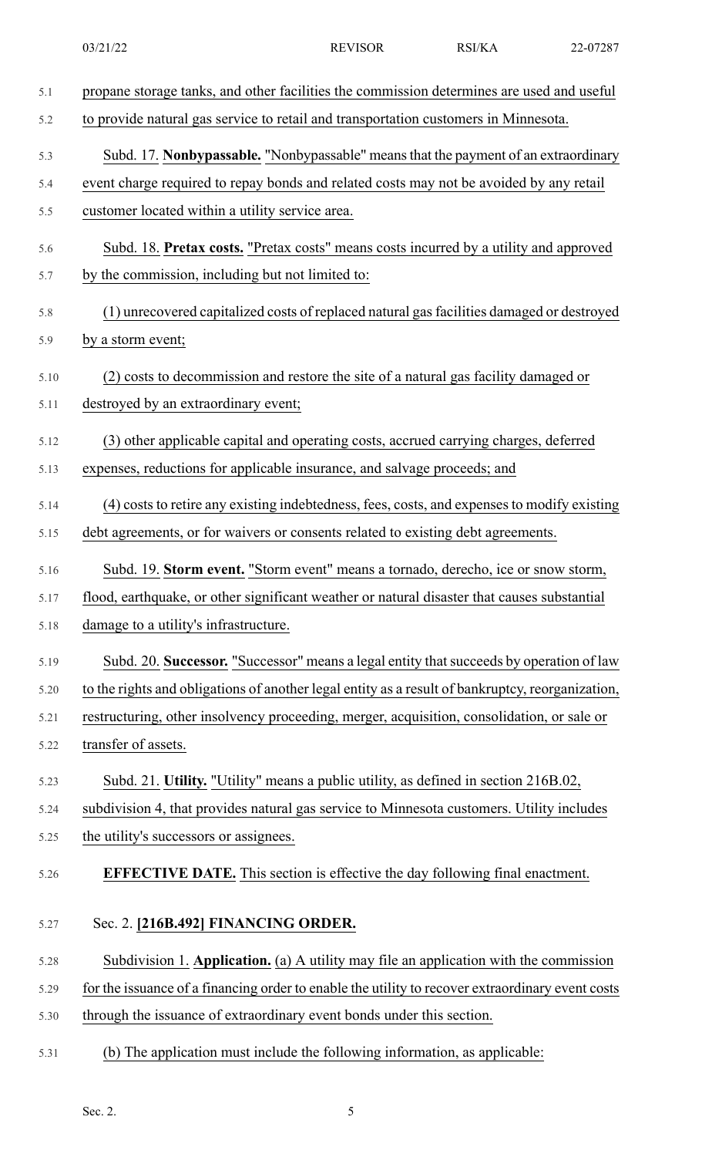| 5.1  | propane storage tanks, and other facilities the commission determines are used and useful        |
|------|--------------------------------------------------------------------------------------------------|
| 5.2  | to provide natural gas service to retail and transportation customers in Minnesota.              |
| 5.3  | Subd. 17. Nonbypassable. "Nonbypassable" means that the payment of an extraordinary              |
| 5.4  | event charge required to repay bonds and related costs may not be avoided by any retail          |
| 5.5  | customer located within a utility service area.                                                  |
| 5.6  | Subd. 18. Pretax costs. "Pretax costs" means costs incurred by a utility and approved            |
| 5.7  | by the commission, including but not limited to:                                                 |
| 5.8  | (1) unrecovered capitalized costs of replaced natural gas facilities damaged or destroyed        |
| 5.9  | by a storm event;                                                                                |
| 5.10 | (2) costs to decommission and restore the site of a natural gas facility damaged or              |
| 5.11 | destroyed by an extraordinary event;                                                             |
| 5.12 | (3) other applicable capital and operating costs, accrued carrying charges, deferred             |
| 5.13 | expenses, reductions for applicable insurance, and salvage proceeds; and                         |
| 5.14 | (4) costs to retire any existing indebtedness, fees, costs, and expenses to modify existing      |
| 5.15 | debt agreements, or for waivers or consents related to existing debt agreements.                 |
| 5.16 | Subd. 19. Storm event. "Storm event" means a tornado, derecho, ice or snow storm,                |
| 5.17 | flood, earthquake, or other significant weather or natural disaster that causes substantial      |
| 5.18 | damage to a utility's infrastructure.                                                            |
| 5.19 | Subd. 20. Successor. "Successor" means a legal entity that succeeds by operation of law          |
| 5.20 | to the rights and obligations of another legal entity as a result of bankruptcy, reorganization, |
| 5.21 | restructuring, other insolvency proceeding, merger, acquisition, consolidation, or sale or       |
| 5.22 | transfer of assets.                                                                              |
| 5.23 | Subd. 21. Utility. "Utility" means a public utility, as defined in section 216B.02,              |
| 5.24 | subdivision 4, that provides natural gas service to Minnesota customers. Utility includes        |
| 5.25 | the utility's successors or assignees.                                                           |
| 5.26 | <b>EFFECTIVE DATE.</b> This section is effective the day following final enactment.              |
| 5.27 | Sec. 2. [216B.492] FINANCING ORDER.                                                              |
| 5.28 | Subdivision $1$ . Application. (a) A utility may file an application with the commission         |
| 5.29 | for the issuance of a financing order to enable the utility to recover extraordinary event costs |
| 5.30 | through the issuance of extraordinary event bonds under this section.                            |
| 5.31 | (b) The application must include the following information, as applicable:                       |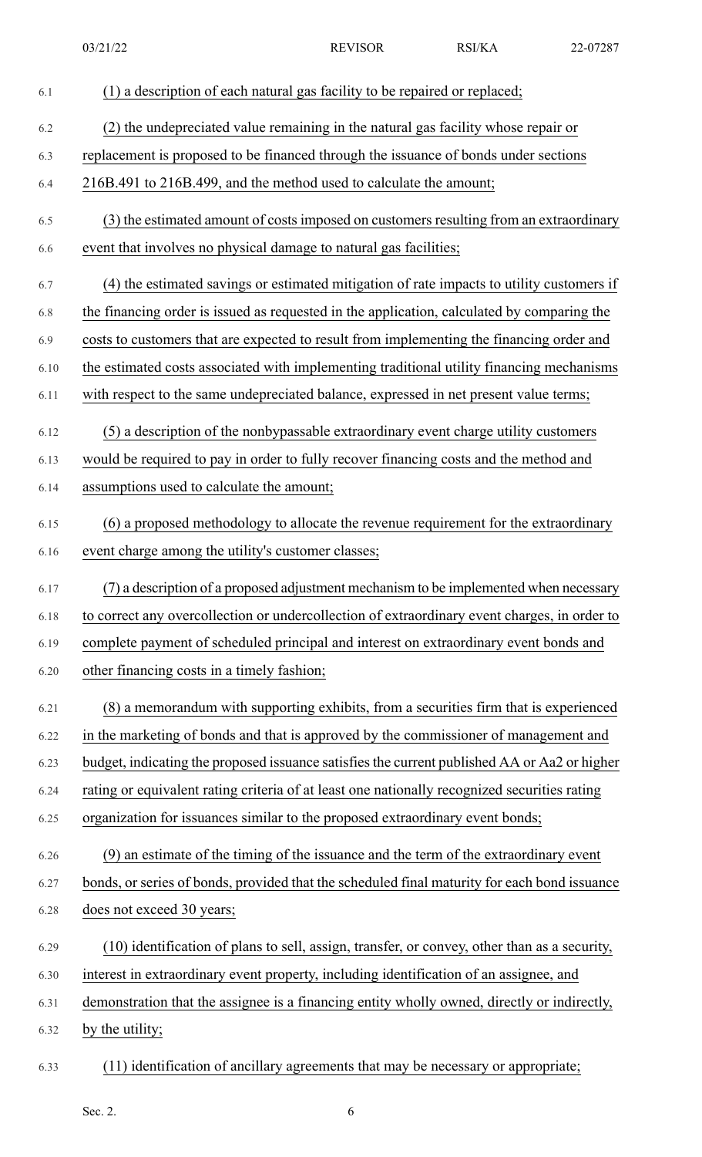03/21/22 REVISOR RSI/KA 22-07287

| 6.1  | (1) a description of each natural gas facility to be repaired or replaced;                   |
|------|----------------------------------------------------------------------------------------------|
| 6.2  | (2) the undepreciated value remaining in the natural gas facility whose repair or            |
| 6.3  | replacement is proposed to be financed through the issuance of bonds under sections          |
| 6.4  | 216B.491 to 216B.499, and the method used to calculate the amount;                           |
| 6.5  | (3) the estimated amount of costs imposed on customers resulting from an extraordinary       |
| 6.6  | event that involves no physical damage to natural gas facilities;                            |
| 6.7  | (4) the estimated savings or estimated mitigation of rate impacts to utility customers if    |
| 6.8  | the financing order is issued as requested in the application, calculated by comparing the   |
| 6.9  | costs to customers that are expected to result from implementing the financing order and     |
| 6.10 | the estimated costs associated with implementing traditional utility financing mechanisms    |
| 6.11 | with respect to the same undepreciated balance, expressed in net present value terms;        |
| 6.12 | (5) a description of the nonbypassable extraordinary event charge utility customers          |
| 6.13 | would be required to pay in order to fully recover financing costs and the method and        |
| 6.14 | assumptions used to calculate the amount;                                                    |
| 6.15 | (6) a proposed methodology to allocate the revenue requirement for the extraordinary         |
| 6.16 | event charge among the utility's customer classes;                                           |
| 6.17 | (7) a description of a proposed adjustment mechanism to be implemented when necessary        |
| 6.18 | to correct any overcollection or undercollection of extraordinary event charges, in order to |
| 6.19 | complete payment of scheduled principal and interest on extraordinary event bonds and        |
| 6.20 | other financing costs in a timely fashion;                                                   |
| 6.21 | (8) a memorandum with supporting exhibits, from a securities firm that is experienced        |
| 6.22 | in the marketing of bonds and that is approved by the commissioner of management and         |
| 6.23 | budget, indicating the proposed issuance satisfies the current published AA or Aa2 or higher |
| 6.24 | rating or equivalent rating criteria of at least one nationally recognized securities rating |
| 6.25 | organization for issuances similar to the proposed extraordinary event bonds;                |
| 6.26 | (9) an estimate of the timing of the issuance and the term of the extraordinary event        |
| 6.27 | bonds, or series of bonds, provided that the scheduled final maturity for each bond issuance |
| 6.28 | does not exceed 30 years;                                                                    |
| 6.29 | (10) identification of plans to sell, assign, transfer, or convey, other than as a security, |
| 6.30 | interest in extraordinary event property, including identification of an assignee, and       |
| 6.31 | demonstration that the assignee is a financing entity wholly owned, directly or indirectly,  |
| 6.32 | by the utility;                                                                              |
| 6.33 | (11) identification of ancillary agreements that may be necessary or appropriate;            |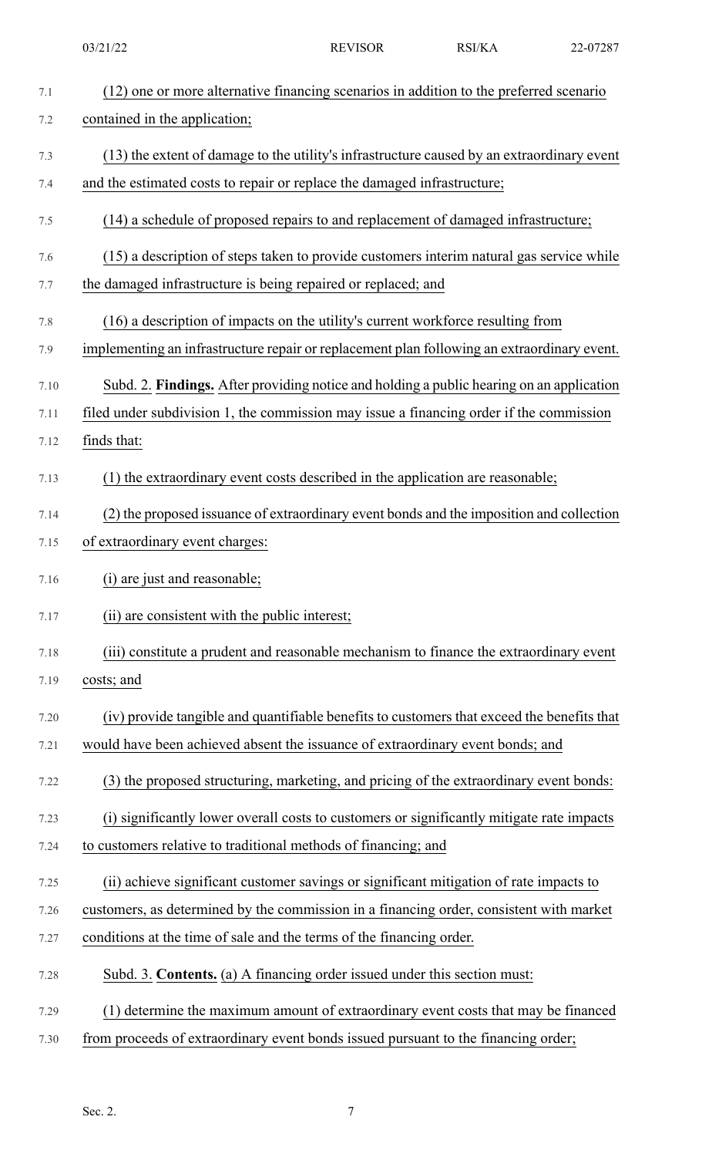| 7.1  | (12) one or more alternative financing scenarios in addition to the preferred scenario      |  |  |  |  |
|------|---------------------------------------------------------------------------------------------|--|--|--|--|
| 7.2  | contained in the application;                                                               |  |  |  |  |
| 7.3  | (13) the extent of damage to the utility's infrastructure caused by an extraordinary event  |  |  |  |  |
| 7.4  | and the estimated costs to repair or replace the damaged infrastructure;                    |  |  |  |  |
| 7.5  | (14) a schedule of proposed repairs to and replacement of damaged infrastructure;           |  |  |  |  |
| 7.6  | (15) a description of steps taken to provide customers interim natural gas service while    |  |  |  |  |
| 7.7  | the damaged infrastructure is being repaired or replaced; and                               |  |  |  |  |
| 7.8  | (16) a description of impacts on the utility's current workforce resulting from             |  |  |  |  |
| 7.9  | implementing an infrastructure repair or replacement plan following an extraordinary event. |  |  |  |  |
| 7.10 | Subd. 2. Findings. After providing notice and holding a public hearing on an application    |  |  |  |  |
| 7.11 | filed under subdivision 1, the commission may issue a financing order if the commission     |  |  |  |  |
| 7.12 | finds that:                                                                                 |  |  |  |  |
| 7.13 | (1) the extraordinary event costs described in the application are reasonable;              |  |  |  |  |
| 7.14 | (2) the proposed issuance of extraordinary event bonds and the imposition and collection    |  |  |  |  |
| 7.15 | of extraordinary event charges:                                                             |  |  |  |  |
| 7.16 | (i) are just and reasonable;                                                                |  |  |  |  |
| 7.17 | (ii) are consistent with the public interest;                                               |  |  |  |  |
| 7.18 | (iii) constitute a prudent and reasonable mechanism to finance the extraordinary event      |  |  |  |  |
| 7.19 | costs; and                                                                                  |  |  |  |  |
| 7.20 | (iv) provide tangible and quantifiable benefits to customers that exceed the benefits that  |  |  |  |  |
| 7.21 | would have been achieved absent the issuance of extraordinary event bonds; and              |  |  |  |  |
| 7.22 | (3) the proposed structuring, marketing, and pricing of the extraordinary event bonds:      |  |  |  |  |
| 7.23 | (i) significantly lower overall costs to customers or significantly mitigate rate impacts   |  |  |  |  |
| 7.24 | to customers relative to traditional methods of financing; and                              |  |  |  |  |
| 7.25 | (ii) achieve significant customer savings or significant mitigation of rate impacts to      |  |  |  |  |
| 7.26 | customers, as determined by the commission in a financing order, consistent with market     |  |  |  |  |
| 7.27 | conditions at the time of sale and the terms of the financing order.                        |  |  |  |  |
| 7.28 | Subd. 3. Contents. (a) A financing order issued under this section must:                    |  |  |  |  |
| 7.29 | (1) determine the maximum amount of extraordinary event costs that may be financed          |  |  |  |  |
| 7.30 | from proceeds of extraordinary event bonds issued pursuant to the financing order;          |  |  |  |  |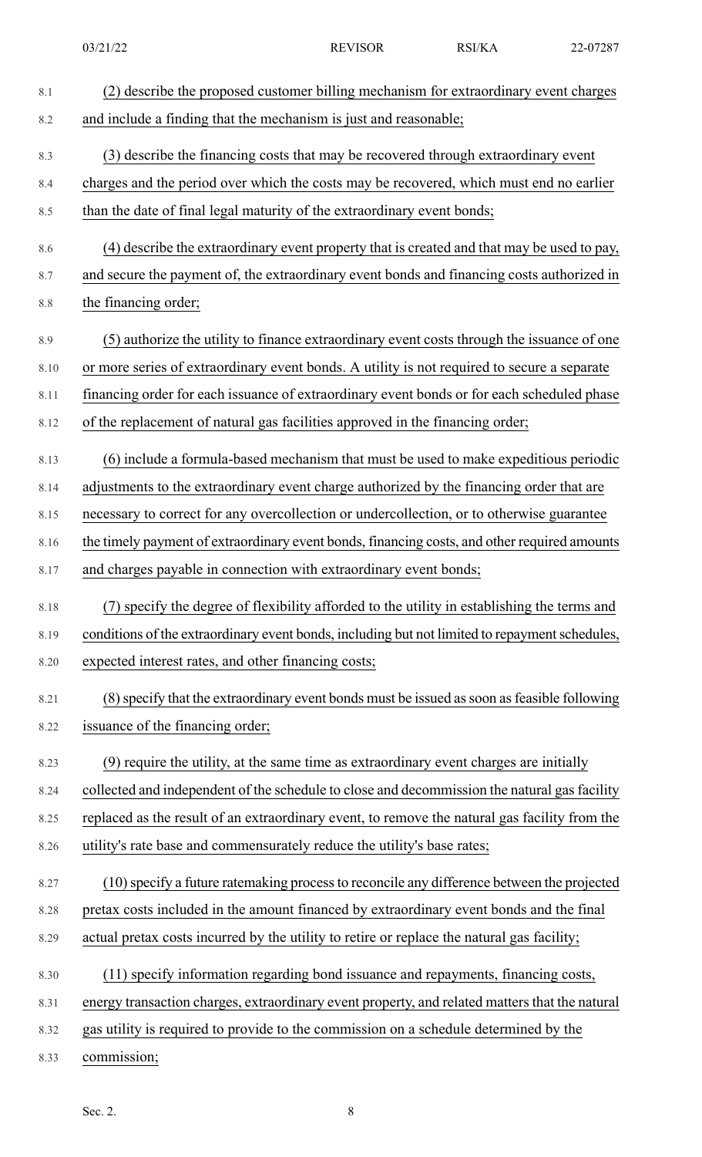| 8.1     | (2) describe the proposed customer billing mechanism for extraordinary event charges           |
|---------|------------------------------------------------------------------------------------------------|
| 8.2     | and include a finding that the mechanism is just and reasonable;                               |
| 8.3     | (3) describe the financing costs that may be recovered through extraordinary event             |
| 8.4     | charges and the period over which the costs may be recovered, which must end no earlier        |
| 8.5     | than the date of final legal maturity of the extraordinary event bonds;                        |
| 8.6     | (4) describe the extraordinary event property that is created and that may be used to pay,     |
| 8.7     | and secure the payment of, the extraordinary event bonds and financing costs authorized in     |
| $8.8\,$ | the financing order;                                                                           |
| 8.9     | (5) authorize the utility to finance extraordinary event costs through the issuance of one     |
| 8.10    | or more series of extraordinary event bonds. A utility is not required to secure a separate    |
| 8.11    | financing order for each issuance of extraordinary event bonds or for each scheduled phase     |
| 8.12    | of the replacement of natural gas facilities approved in the financing order;                  |
| 8.13    | (6) include a formula-based mechanism that must be used to make expeditious periodic           |
| 8.14    | adjustments to the extraordinary event charge authorized by the financing order that are       |
| 8.15    | necessary to correct for any overcollection or undercollection, or to otherwise guarantee      |
| 8.16    | the timely payment of extraordinary event bonds, financing costs, and other required amounts   |
| 8.17    | and charges payable in connection with extraordinary event bonds;                              |
| 8.18    | (7) specify the degree of flexibility afforded to the utility in establishing the terms and    |
| 8.19    | conditions of the extraordinary event bonds, including but not limited to repayment schedules, |
| 8.20    | expected interest rates, and other financing costs;                                            |
| 8.21    | (8) specify that the extraordinary event bonds must be issued as soon as feasible following    |
| 8.22    | issuance of the financing order;                                                               |
| 8.23    | (9) require the utility, at the same time as extraordinary event charges are initially         |
| 8.24    | collected and independent of the schedule to close and decommission the natural gas facility   |
| 8.25    | replaced as the result of an extraordinary event, to remove the natural gas facility from the  |
| 8.26    | utility's rate base and commensurately reduce the utility's base rates;                        |
| 8.27    | (10) specify a future ratemaking process to reconcile any difference between the projected     |
| 8.28    | pretax costs included in the amount financed by extraordinary event bonds and the final        |
| 8.29    | actual pretax costs incurred by the utility to retire or replace the natural gas facility;     |
| 8.30    | (11) specify information regarding bond issuance and repayments, financing costs,              |
| 8.31    | energy transaction charges, extraordinary event property, and related matters that the natural |
| 8.32    | gas utility is required to provide to the commission on a schedule determined by the           |
| 8.33    | commission;                                                                                    |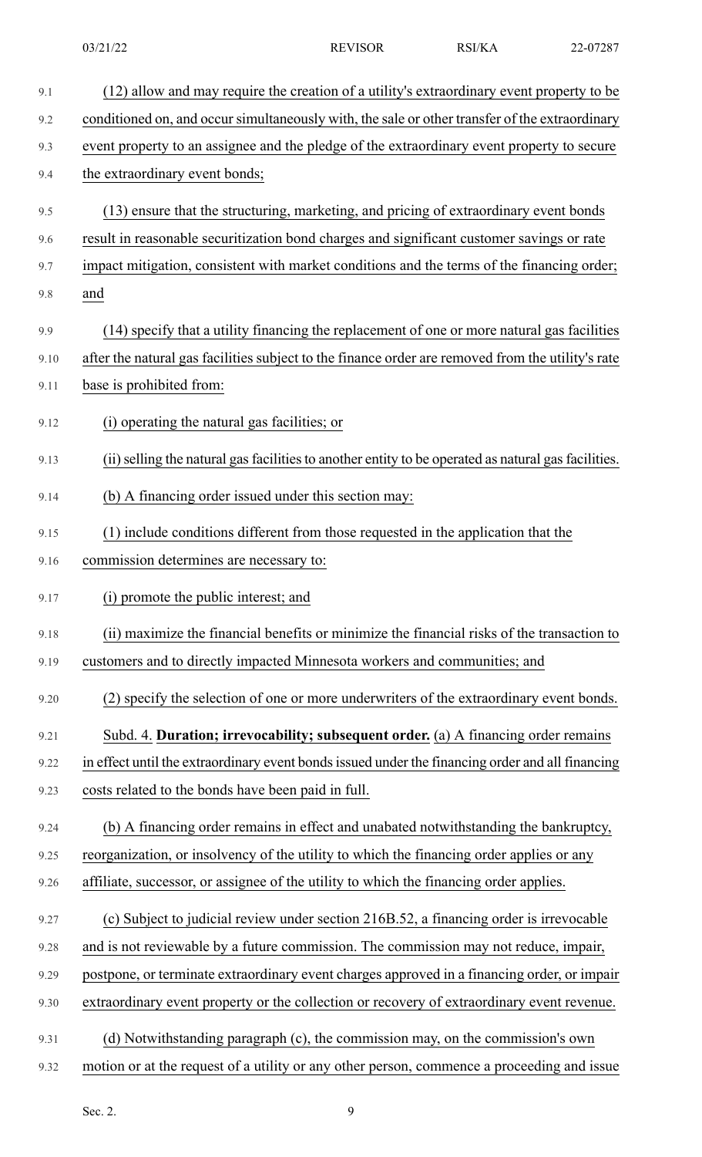9.1 (12) allow and may require the creation of a utility's extraordinary event property to be 9.2 conditioned on, and occur simultaneously with, the sale or other transfer of the extraordinary 9.3 event property to an assignee and the pledge of the extraordinary event property to secure 9.4 the extraordinary event bonds; 9.5 (13) ensure that the structuring, marketing, and pricing of extraordinary event bonds 9.6 result in reasonable securitization bond charges and significant customer savings or rate 9.7 impact mitigation, consistent with market conditions and the terms of the financing order; 9.8 and 9.9 (14) specify that a utility financing the replacement of one or more natural gas facilities 9.10 after the natural gas facilities subject to the finance order are removed from the utility's rate 9.11 base is prohibited from: 9.12 (i) operating the natural gas facilities; or 9.13 (ii) selling the natural gas facilities to another entity to be operated as natural gas facilities. 9.14 (b) A financing order issued under this section may: 9.15 (1) include conditions different from those requested in the application that the 9.16 commission determines are necessary to: 9.17 (i) promote the public interest; and 9.18 (ii) maximize the financial benefits or minimize the financial risks of the transaction to 9.19 customers and to directly impacted Minnesota workers and communities; and 9.20 (2) specify the selection of one or more underwriters of the extraordinary event bonds. 9.21 Subd. 4. **Duration; irrevocability; subsequent order.** (a) A financing order remains 9.22 in effect until the extraordinary event bondsissued under the financing order and all financing 9.23 costs related to the bonds have been paid in full. 9.24 (b) A financing order remains in effect and unabated notwithstanding the bankruptcy, 9.25 reorganization, or insolvency of the utility to which the financing order applies or any 9.26 affiliate, successor, or assignee of the utility to which the financing order applies. 9.27 (c) Subject to judicial review under section 216B.52, a financing order is irrevocable 9.28 and is not reviewable by a future commission. The commission may not reduce, impair, 9.29 postpone, or terminate extraordinary event charges approved in a financing order, or impair 9.30 extraordinary event property or the collection or recovery of extraordinary event revenue. 9.31 (d) Notwithstanding paragraph (c), the commission may, on the commission's own 9.32 motion or at the request of a utility or any other person, commence a proceeding and issue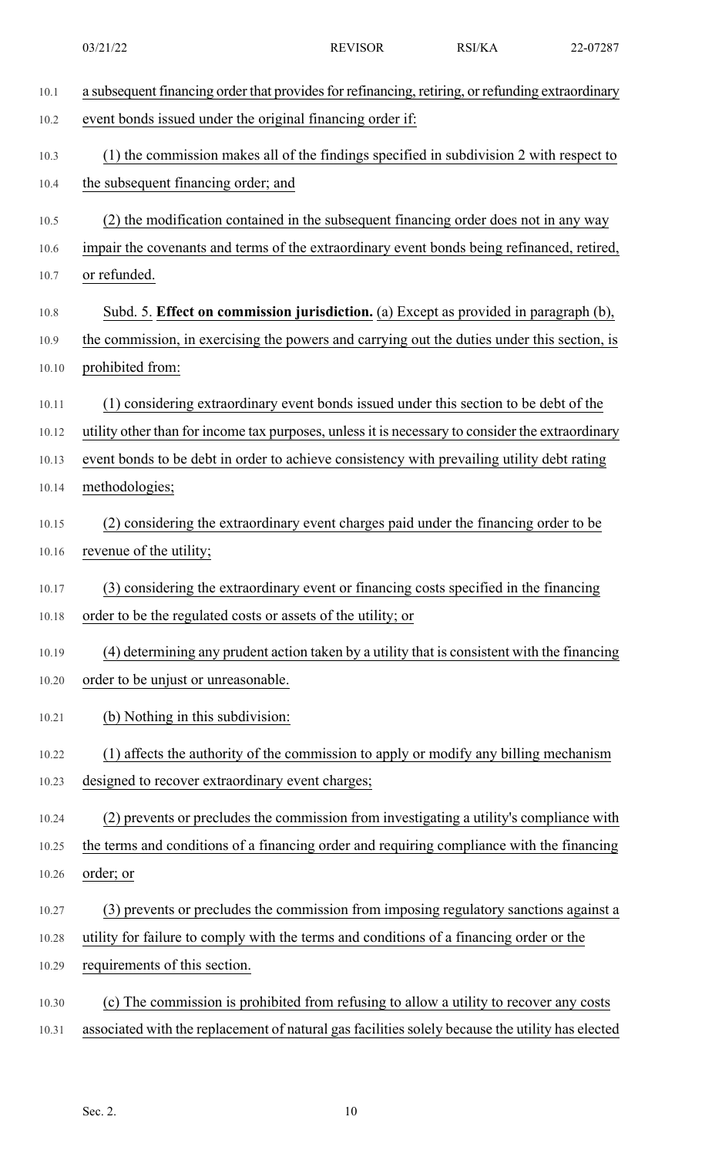| 10.1  | a subsequent financing order that provides for refinancing, retiring, or refunding extraordinary |
|-------|--------------------------------------------------------------------------------------------------|
| 10.2  | event bonds issued under the original financing order if:                                        |
| 10.3  | (1) the commission makes all of the findings specified in subdivision 2 with respect to          |
| 10.4  | the subsequent financing order; and                                                              |
| 10.5  | (2) the modification contained in the subsequent financing order does not in any way             |
| 10.6  | impair the covenants and terms of the extraordinary event bonds being refinanced, retired,       |
| 10.7  | or refunded.                                                                                     |
| 10.8  | Subd. 5. Effect on commission jurisdiction. (a) Except as provided in paragraph (b),             |
| 10.9  | the commission, in exercising the powers and carrying out the duties under this section, is      |
| 10.10 | prohibited from:                                                                                 |
| 10.11 | (1) considering extraordinary event bonds issued under this section to be debt of the            |
| 10.12 | utility other than for income tax purposes, unless it is necessary to consider the extraordinary |
| 10.13 | event bonds to be debt in order to achieve consistency with prevailing utility debt rating       |
| 10.14 | methodologies;                                                                                   |
| 10.15 | (2) considering the extraordinary event charges paid under the financing order to be             |
| 10.16 | revenue of the utility;                                                                          |
| 10.17 | (3) considering the extraordinary event or financing costs specified in the financing            |
| 10.18 | order to be the regulated costs or assets of the utility; or                                     |
| 10.19 | (4) determining any prudent action taken by a utility that is consistent with the financing      |
| 10.20 | order to be unjust or unreasonable.                                                              |
| 10.21 | (b) Nothing in this subdivision:                                                                 |
| 10.22 | (1) affects the authority of the commission to apply or modify any billing mechanism             |
| 10.23 | designed to recover extraordinary event charges;                                                 |
| 10.24 | (2) prevents or precludes the commission from investigating a utility's compliance with          |
| 10.25 | the terms and conditions of a financing order and requiring compliance with the financing        |
| 10.26 | order; or                                                                                        |
| 10.27 | (3) prevents or precludes the commission from imposing regulatory sanctions against a            |
| 10.28 | utility for failure to comply with the terms and conditions of a financing order or the          |
| 10.29 | requirements of this section.                                                                    |
| 10.30 | (c) The commission is prohibited from refusing to allow a utility to recover any costs           |
| 10.31 | associated with the replacement of natural gas facilities solely because the utility has elected |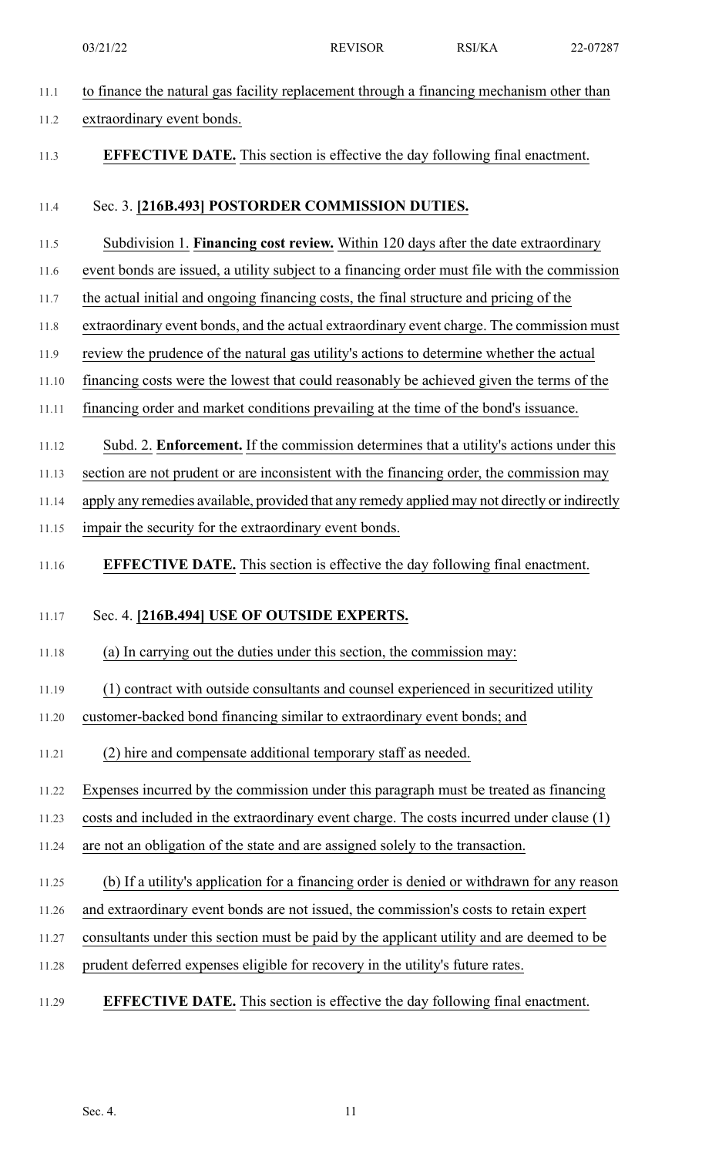| 11.1  | to finance the natural gas facility replacement through a financing mechanism other than      |
|-------|-----------------------------------------------------------------------------------------------|
| 11.2  | extraordinary event bonds.                                                                    |
| 11.3  | <b>EFFECTIVE DATE.</b> This section is effective the day following final enactment.           |
| 11.4  | Sec. 3. [216B.493] POSTORDER COMMISSION DUTIES.                                               |
| 11.5  | Subdivision 1. Financing cost review. Within 120 days after the date extraordinary            |
| 11.6  | event bonds are issued, a utility subject to a financing order must file with the commission  |
| 11.7  | the actual initial and ongoing financing costs, the final structure and pricing of the        |
| 11.8  | extraordinary event bonds, and the actual extraordinary event charge. The commission must     |
| 11.9  | review the prudence of the natural gas utility's actions to determine whether the actual      |
| 11.10 | financing costs were the lowest that could reasonably be achieved given the terms of the      |
| 11.11 | financing order and market conditions prevailing at the time of the bond's issuance.          |
| 11.12 | Subd. 2. Enforcement. If the commission determines that a utility's actions under this        |
| 11.13 | section are not prudent or are inconsistent with the financing order, the commission may      |
| 11.14 | apply any remedies available, provided that any remedy applied may not directly or indirectly |
| 11.15 | impair the security for the extraordinary event bonds.                                        |
| 11.16 | <b>EFFECTIVE DATE.</b> This section is effective the day following final enactment.           |
| 11.17 | Sec. 4. [216B.494] USE OF OUTSIDE EXPERTS.                                                    |
| 11.18 | (a) In carrying out the duties under this section, the commission may:                        |
| 11.19 | (1) contract with outside consultants and counsel experienced in securitized utility          |
| 11.20 | customer-backed bond financing similar to extraordinary event bonds; and                      |
| 11.21 | (2) hire and compensate additional temporary staff as needed.                                 |
| 11.22 | Expenses incurred by the commission under this paragraph must be treated as financing         |
| 11.23 | costs and included in the extraordinary event charge. The costs incurred under clause (1)     |
| 11.24 | are not an obligation of the state and are assigned solely to the transaction.                |
| 11.25 | (b) If a utility's application for a financing order is denied or withdrawn for any reason    |
| 11.26 | and extraordinary event bonds are not issued, the commission's costs to retain expert         |
| 11.27 | consultants under this section must be paid by the applicant utility and are deemed to be     |
| 11.28 | prudent deferred expenses eligible for recovery in the utility's future rates.                |
| 11.29 | <b>EFFECTIVE DATE.</b> This section is effective the day following final enactment.           |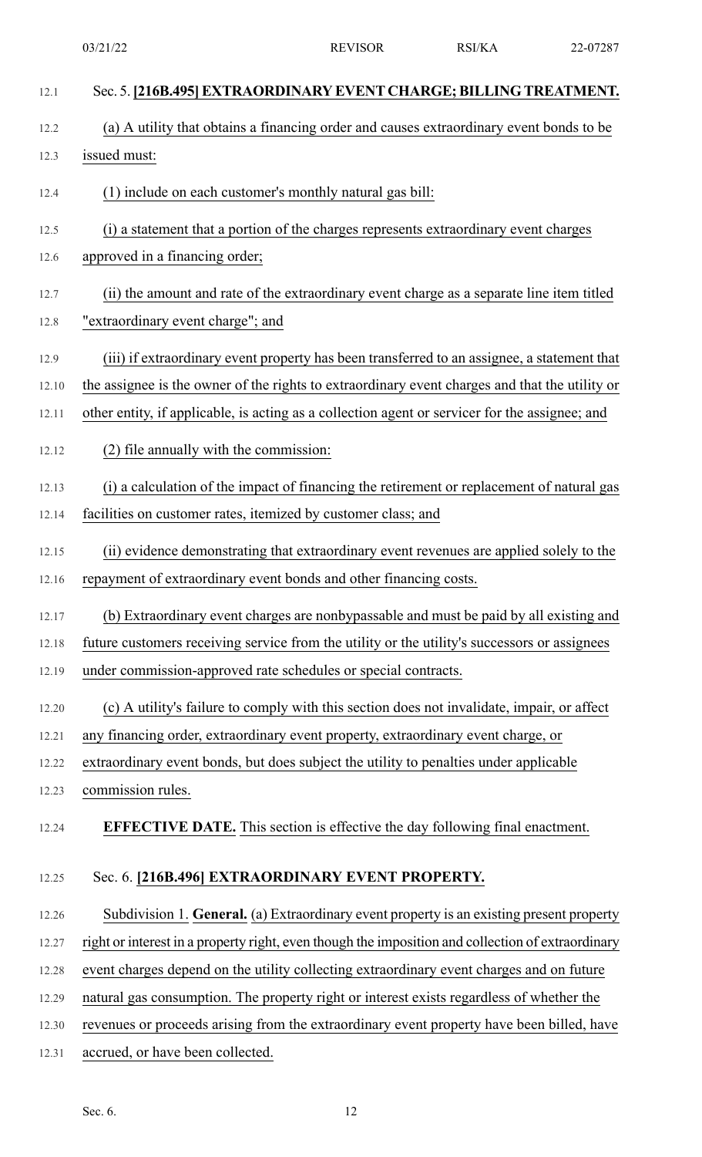| 12.1  | Sec. 5. [216B.495] EXTRAORDINARY EVENT CHARGE; BILLING TREATMENT.                                 |
|-------|---------------------------------------------------------------------------------------------------|
| 12.2  | (a) A utility that obtains a financing order and causes extraordinary event bonds to be           |
| 12.3  | issued must:                                                                                      |
| 12.4  | (1) include on each customer's monthly natural gas bill:                                          |
| 12.5  | (i) a statement that a portion of the charges represents extraordinary event charges              |
| 12.6  | approved in a financing order;                                                                    |
| 12.7  | (ii) the amount and rate of the extraordinary event charge as a separate line item titled         |
| 12.8  | "extraordinary event charge"; and                                                                 |
| 12.9  | (iii) if extraordinary event property has been transferred to an assignee, a statement that       |
| 12.10 | the assignee is the owner of the rights to extraordinary event charges and that the utility or    |
| 12.11 | other entity, if applicable, is acting as a collection agent or servicer for the assignee; and    |
| 12.12 | (2) file annually with the commission:                                                            |
| 12.13 | (i) a calculation of the impact of financing the retirement or replacement of natural gas         |
| 12.14 | facilities on customer rates, itemized by customer class; and                                     |
| 12.15 | (ii) evidence demonstrating that extraordinary event revenues are applied solely to the           |
| 12.16 | repayment of extraordinary event bonds and other financing costs.                                 |
| 12.17 | (b) Extraordinary event charges are nonbypassable and must be paid by all existing and            |
| 12.18 | future customers receiving service from the utility or the utility's successors or assignees      |
| 12.19 | under commission-approved rate schedules or special contracts.                                    |
| 12.20 | (c) A utility's failure to comply with this section does not invalidate, impair, or affect        |
| 12.21 | any financing order, extraordinary event property, extraordinary event charge, or                 |
| 12.22 | extraordinary event bonds, but does subject the utility to penalties under applicable             |
| 12.23 | commission rules.                                                                                 |
| 12.24 | <b>EFFECTIVE DATE.</b> This section is effective the day following final enactment.               |
| 12.25 | Sec. 6. [216B.496] EXTRAORDINARY EVENT PROPERTY.                                                  |
| 12.26 | Subdivision 1. General. (a) Extraordinary event property is an existing present property          |
| 12.27 | right or interest in a property right, even though the imposition and collection of extraordinary |
| 12.28 | event charges depend on the utility collecting extraordinary event charges and on future          |
| 12.29 | natural gas consumption. The property right or interest exists regardless of whether the          |
| 12.30 | revenues or proceeds arising from the extraordinary event property have been billed, have         |
| 12.31 | accrued, or have been collected.                                                                  |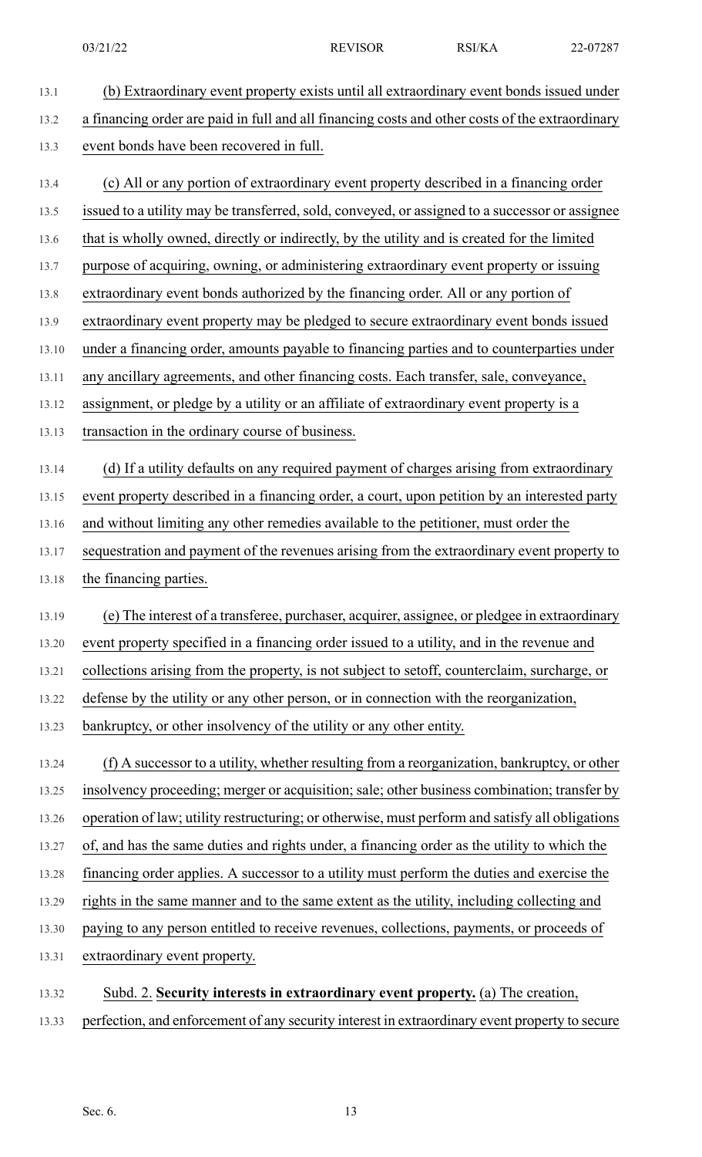13.1 (b) Extraordinary event property exists until all extraordinary event bonds issued under 13.2 a financing order are paid in full and all financing costs and other costs of the extraordinary 13.3 event bonds have been recovered in full. 13.4 (c) All or any portion of extraordinary event property described in a financing order 13.5 issued to a utility may be transferred, sold, conveyed, or assigned to a successor or assignee 13.6 that is wholly owned, directly or indirectly, by the utility and is created for the limited 13.7 purpose of acquiring, owning, or administering extraordinary event property or issuing 13.8 extraordinary event bonds authorized by the financing order. All or any portion of 13.9 extraordinary event property may be pledged to secure extraordinary event bonds issued 13.10 under a financing order, amounts payable to financing parties and to counterparties under 13.11 any ancillary agreements, and other financing costs. Each transfer, sale, conveyance, 13.12 assignment, or pledge by a utility or an affiliate of extraordinary event property is a 13.13 transaction in the ordinary course of business. 13.14 (d) If a utility defaults on any required payment of charges arising from extraordinary 13.15 event property described in a financing order, a court, upon petition by an interested party 13.16 and without limiting any other remedies available to the petitioner, must order the 13.17 sequestration and payment of the revenues arising from the extraordinary event property to 13.18 the financing parties. 13.19 (e) The interest of a transferee, purchaser, acquirer, assignee, or pledgee in extraordinary 13.20 event property specified in a financing order issued to a utility, and in the revenue and 13.21 collections arising from the property, is not subject to setoff, counterclaim, surcharge, or 13.22 defense by the utility or any other person, or in connection with the reorganization, 13.23 bankruptcy, or other insolvency of the utility or any other entity. 13.24 (f) A successor to a utility, whether resulting from a reorganization, bankruptcy, or other 13.25 insolvency proceeding; merger or acquisition; sale; other business combination; transfer by 13.26 operation of law; utility restructuring; or otherwise, must perform and satisfy all obligations

13.27 of, and has the same duties and rights under, a financing order as the utility to which the

13.28 financing order applies. A successor to a utility must perform the duties and exercise the

- 13.29 rights in the same manner and to the same extent as the utility, including collecting and
- 13.30 paying to any person entitled to receive revenues, collections, payments, or proceeds of
- 13.31 extraordinary event property.
- 13.32 Subd. 2. **Security interests in extraordinary event property.** (a) The creation, 13.33 perfection, and enforcement of any security interest in extraordinary event property to secure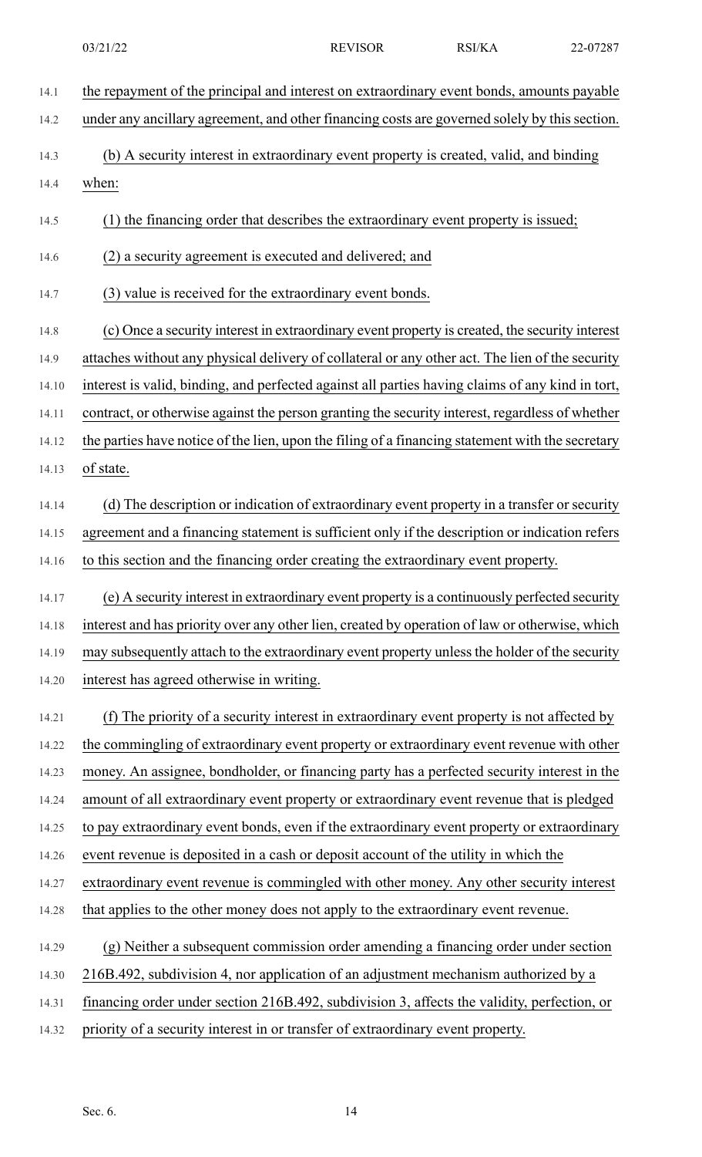14.1 the repayment of the principal and interest on extraordinary event bonds, amounts payable 14.2 under any ancillary agreement, and other financing costs are governed solely by this section. 14.3 (b) A security interest in extraordinary event property is created, valid, and binding 14.4 when: 14.5 (1) the financing order that describes the extraordinary event property is issued; 14.6 (2) a security agreement is executed and delivered; and 14.7 (3) value is received for the extraordinary event bonds. 14.8 (c) Once a security interest in extraordinary event property is created, the security interest 14.9 attaches without any physical delivery of collateral or any other act. The lien of the security 14.10 interest is valid, binding, and perfected against all parties having claims of any kind in tort, 14.11 contract, or otherwise against the person granting the security interest, regardless of whether 14.12 the parties have notice of the lien, upon the filing of a financing statement with the secretary 14.13 of state. 14.14 (d) The description or indication of extraordinary event property in a transfer or security 14.15 agreement and a financing statement is sufficient only if the description or indication refers 14.16 to this section and the financing order creating the extraordinary event property. 14.17 (e) A security interest in extraordinary event property is a continuously perfected security 14.18 interest and has priority over any other lien, created by operation of law or otherwise, which 14.19 may subsequently attach to the extraordinary event property unless the holder of the security 14.20 interest has agreed otherwise in writing. 14.21 (f) The priority of a security interest in extraordinary event property is not affected by 14.22 the commingling of extraordinary event property or extraordinary event revenue with other 14.23 money. An assignee, bondholder, or financing party has a perfected security interest in the 14.24 amount of all extraordinary event property or extraordinary event revenue that is pledged 14.25 to pay extraordinary event bonds, even if the extraordinary event property or extraordinary 14.26 event revenue is deposited in a cash or deposit account of the utility in which the 14.27 extraordinary event revenue is commingled with other money. Any other security interest 14.28 that applies to the other money does not apply to the extraordinary event revenue. 14.29 (g) Neither a subsequent commission order amending a financing order under section 14.30 216B.492, subdivision 4, nor application of an adjustment mechanism authorized by a 14.31 financing order under section 216B.492, subdivision 3, affects the validity, perfection, or 14.32 priority of a security interest in or transfer of extraordinary event property.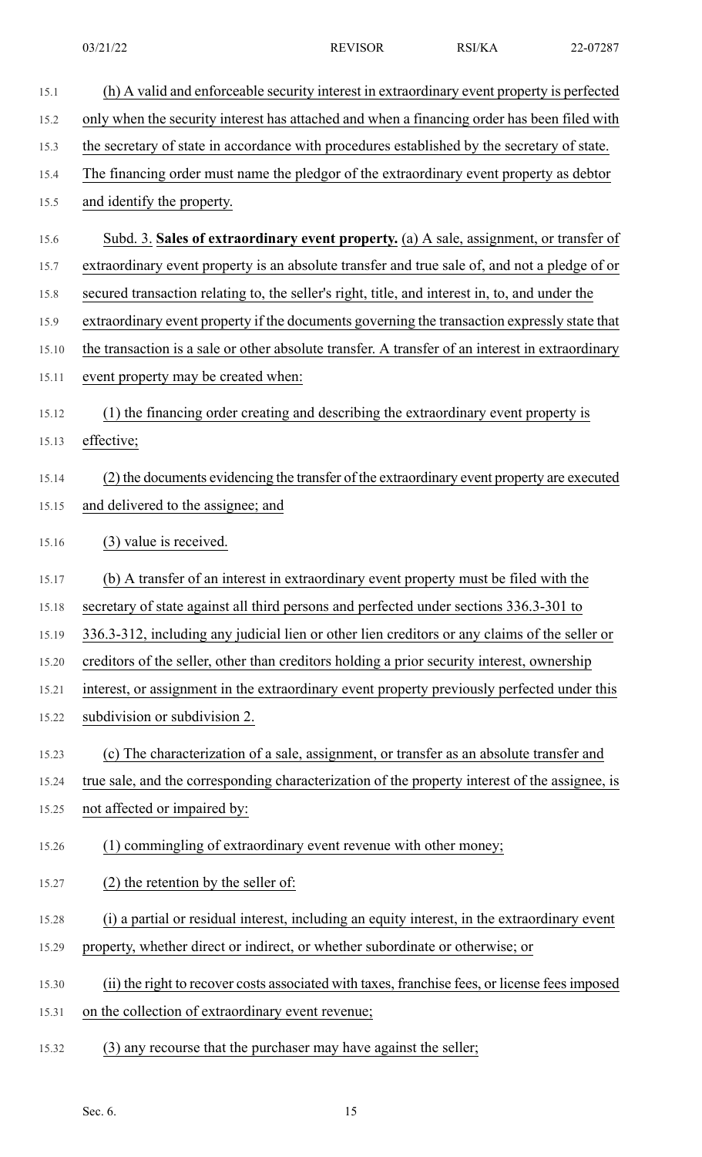| 15.1  | (h) A valid and enforceable security interest in extraordinary event property is perfected       |
|-------|--------------------------------------------------------------------------------------------------|
| 15.2  | only when the security interest has attached and when a financing order has been filed with      |
| 15.3  | the secretary of state in accordance with procedures established by the secretary of state.      |
| 15.4  | The financing order must name the pledgor of the extraordinary event property as debtor          |
| 15.5  | and identify the property.                                                                       |
| 15.6  | Subd. 3. Sales of extraordinary event property. (a) A sale, assignment, or transfer of           |
| 15.7  | extraordinary event property is an absolute transfer and true sale of, and not a pledge of or    |
| 15.8  | secured transaction relating to, the seller's right, title, and interest in, to, and under the   |
| 15.9  | extraordinary event property if the documents governing the transaction expressly state that     |
| 15.10 | the transaction is a sale or other absolute transfer. A transfer of an interest in extraordinary |
| 15.11 | event property may be created when:                                                              |
| 15.12 | (1) the financing order creating and describing the extraordinary event property is              |
| 15.13 | effective;                                                                                       |
| 15.14 | (2) the documents evidencing the transfer of the extraordinary event property are executed       |
| 15.15 | and delivered to the assignee; and                                                               |
| 15.16 | (3) value is received.                                                                           |
| 15.17 | (b) A transfer of an interest in extraordinary event property must be filed with the             |
| 15.18 | secretary of state against all third persons and perfected under sections 336.3-301 to           |
| 15.19 | 336.3-312, including any judicial lien or other lien creditors or any claims of the seller or    |
| 15.20 | creditors of the seller, other than creditors holding a prior security interest, ownership       |
| 15.21 | interest, or assignment in the extraordinary event property previously perfected under this      |
| 15.22 | subdivision or subdivision 2.                                                                    |
| 15.23 | (c) The characterization of a sale, assignment, or transfer as an absolute transfer and          |
| 15.24 | true sale, and the corresponding characterization of the property interest of the assignee, is   |
| 15.25 | not affected or impaired by:                                                                     |
| 15.26 | (1) commingling of extraordinary event revenue with other money;                                 |
| 15.27 | (2) the retention by the seller of:                                                              |
| 15.28 | (i) a partial or residual interest, including an equity interest, in the extraordinary event     |
| 15.29 | property, whether direct or indirect, or whether subordinate or otherwise; or                    |
| 15.30 | (ii) the right to recover costs associated with taxes, franchise fees, or license fees imposed   |
| 15.31 | on the collection of extraordinary event revenue;                                                |
| 15.32 | (3) any recourse that the purchaser may have against the seller;                                 |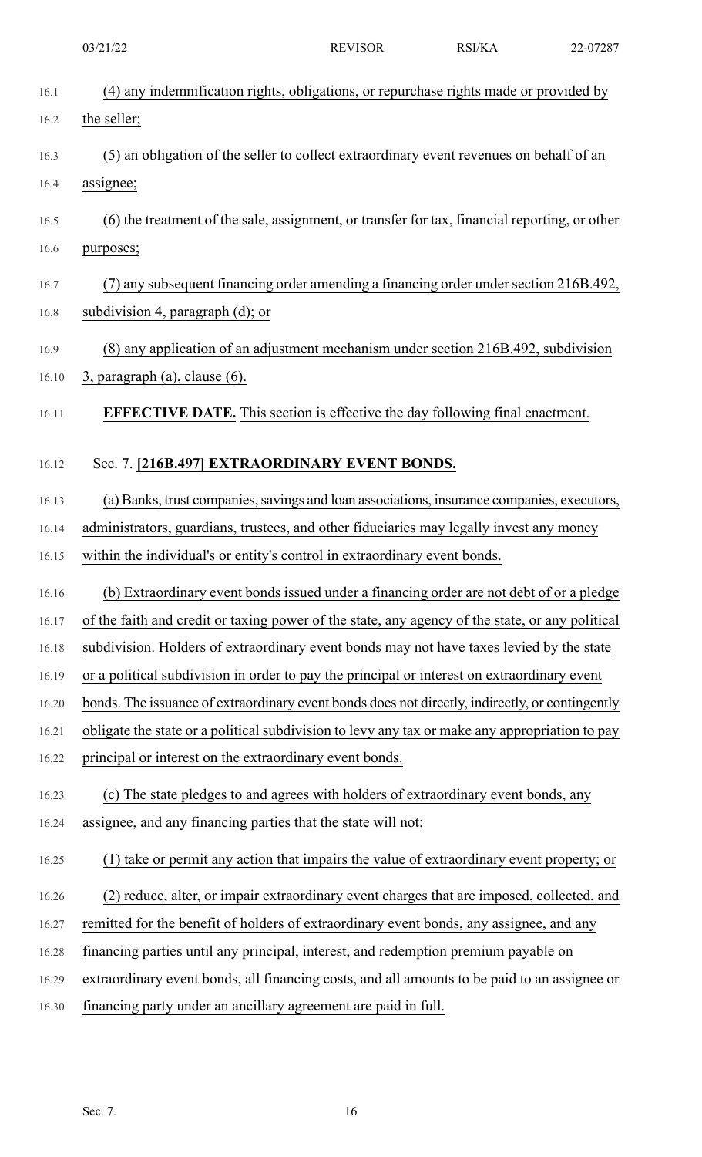|              | 03/21/22                                                                                        | <b>REVISOR</b> | <b>RSI/KA</b> | 22-07287 |  |  |
|--------------|-------------------------------------------------------------------------------------------------|----------------|---------------|----------|--|--|
| 16.1         | (4) any indemnification rights, obligations, or repurchase rights made or provided by           |                |               |          |  |  |
| 16.2         | the seller;                                                                                     |                |               |          |  |  |
| 16.3         | (5) an obligation of the seller to collect extraordinary event revenues on behalf of an         |                |               |          |  |  |
| 16.4         | assignee;                                                                                       |                |               |          |  |  |
|              |                                                                                                 |                |               |          |  |  |
| 16.5<br>16.6 | (6) the treatment of the sale, assignment, or transfer for tax, financial reporting, or other   |                |               |          |  |  |
|              | purposes;                                                                                       |                |               |          |  |  |
| 16.7         | (7) any subsequent financing order amending a financing order under section 216B.492,           |                |               |          |  |  |
| 16.8         | subdivision 4, paragraph (d); or                                                                |                |               |          |  |  |
| 16.9         | (8) any application of an adjustment mechanism under section 216B.492, subdivision              |                |               |          |  |  |
| 16.10        | $3$ , paragraph (a), clause (6).                                                                |                |               |          |  |  |
| 16.11        | <b>EFFECTIVE DATE.</b> This section is effective the day following final enactment.             |                |               |          |  |  |
|              |                                                                                                 |                |               |          |  |  |
| 16.12        | Sec. 7. [216B.497] EXTRAORDINARY EVENT BONDS.                                                   |                |               |          |  |  |
| 16.13        | (a) Banks, trust companies, savings and loan associations, insurance companies, executors,      |                |               |          |  |  |
| 16.14        | administrators, guardians, trustees, and other fiduciaries may legally invest any money         |                |               |          |  |  |
| 16.15        | within the individual's or entity's control in extraordinary event bonds.                       |                |               |          |  |  |
| 16.16        | (b) Extraordinary event bonds issued under a financing order are not debt of or a pledge        |                |               |          |  |  |
| 16.17        | of the faith and credit or taxing power of the state, any agency of the state, or any political |                |               |          |  |  |
| 16.18        | subdivision. Holders of extraordinary event bonds may not have taxes levied by the state        |                |               |          |  |  |
| 16.19        | or a political subdivision in order to pay the principal or interest on extraordinary event     |                |               |          |  |  |
| 16.20        | bonds. The issuance of extraordinary event bonds does not directly, indirectly, or contingently |                |               |          |  |  |
| 16.21        | obligate the state or a political subdivision to levy any tax or make any appropriation to pay  |                |               |          |  |  |
| 16.22        | principal or interest on the extraordinary event bonds.                                         |                |               |          |  |  |
| 16.23        | (c) The state pledges to and agrees with holders of extraordinary event bonds, any              |                |               |          |  |  |
| 16.24        | assignee, and any financing parties that the state will not:                                    |                |               |          |  |  |
| 16.25        | (1) take or permit any action that impairs the value of extraordinary event property; or        |                |               |          |  |  |
| 16.26        | (2) reduce, alter, or impair extraordinary event charges that are imposed, collected, and       |                |               |          |  |  |
| 16.27        | remitted for the benefit of holders of extraordinary event bonds, any assignee, and any         |                |               |          |  |  |
| 16.28        | financing parties until any principal, interest, and redemption premium payable on              |                |               |          |  |  |
| 16.29        | extraordinary event bonds, all financing costs, and all amounts to be paid to an assignee or    |                |               |          |  |  |
| 16.30        | financing party under an ancillary agreement are paid in full.                                  |                |               |          |  |  |
|              |                                                                                                 |                |               |          |  |  |